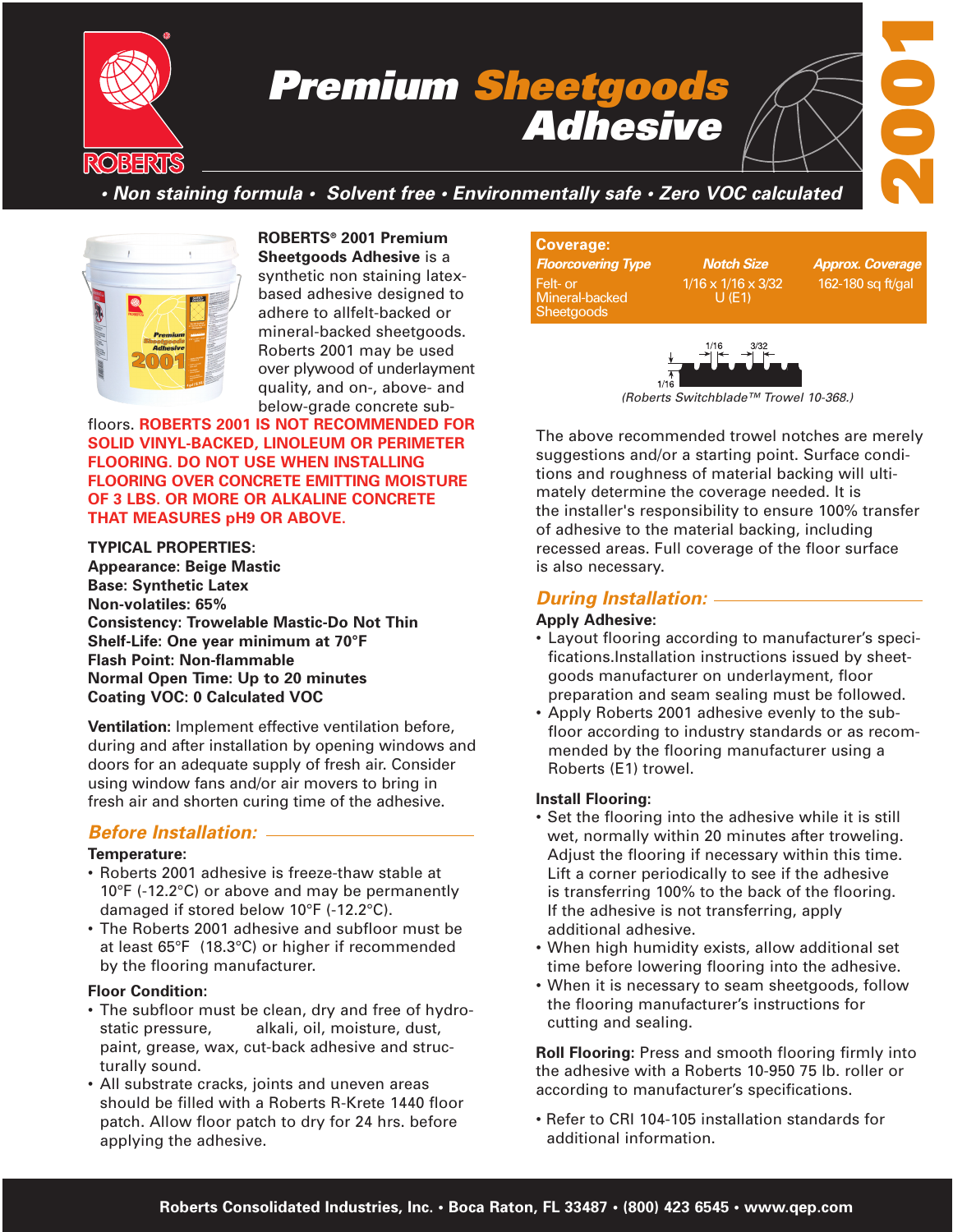

# *Premium Sheetgoods Adhesive*



# *• Non staining formula • Solvent free • Environmentally safe • Zero VOC calculated*



**ROBERTS® 2001 Premium Sheetgoods Adhesive** is a synthetic non staining latexbased adhesive designed to adhere to allfelt-backed or mineral-backed sheetgoods. Roberts 2001 may be used over plywood of underlayment quality, and on-, above- and below-grade concrete sub-

floors. **ROBERTS 2001 IS NOT RECOMMENDED FOR SOLID VINYL-BACKED, LINOLEUM OR PERIMETER FLOORING. DO NOT USE WHEN INSTALLING FLOORING OVER CONCRETE EMITTING MOISTURE OF 3 LBS. OR MORE OR ALKALINE CONCRETE THAT MEASURES pH9 OR ABOVE.**

**TYPICAL PROPERTIES: Appearance: Beige Mastic Base: Synthetic Latex Non-volatiles: 65% Consistency: Trowelable Mastic-Do Not Thin Shelf-Life: One year minimum at 70°F Flash Point: Non-flammable Normal Open Time: Up to 20 minutes Coating VOC: 0 Calculated VOC**

**Ventilation:** Implement effective ventilation before, during and after installation by opening windows and doors for an adequate supply of fresh air. Consider using window fans and/or air movers to bring in fresh air and shorten curing time of the adhesive.

### *Before Installation:*

#### **Temperature:**

- Roberts 2001 adhesive is freeze-thaw stable at 10°F (-12.2°C) or above and may be permanently damaged if stored below 10°F (-12.2°C).
- The Roberts 2001 adhesive and subfloor must be at least 65°F (18.3°C) or higher if recommended by the flooring manufacturer.

#### **Floor Condition:**

- The subfloor must be clean, dry and free of hydrostatic pressure, alkali, oil, moisture, dust, paint, grease, wax, cut-back adhesive and structurally sound.
- All substrate cracks, joints and uneven areas should be filled with a Roberts R-Krete 1440 floor patch. Allow floor patch to dry for 24 hrs. before applying the adhesive.

#### **Coverage:** *Floorcovering Type Notch Size Approx. Coverage* Felt- or 1/16 x 1/16 x 3/32 162-180 sq ft/gal Mineral-backed Sheetgoods



*(Roberts Switchblade™ Trowel 10-368.)*

The above recommended trowel notches are merely suggestions and/or a starting point. Surface conditions and roughness of material backing will ultimately determine the coverage needed. It is the installer's responsibility to ensure 100% transfer of adhesive to the material backing, including recessed areas. Full coverage of the floor surface is also necessary.

### *During Installation:*

#### **Apply Adhesive:**

- Layout flooring according to manufacturer's specifications.Installation instructions issued by sheetgoods manufacturer on underlayment, floor preparation and seam sealing must be followed.
- Apply Roberts 2001 adhesive evenly to the subfloor according to industry standards or as recommended by the flooring manufacturer using a Roberts (E1) trowel.

#### **Install Flooring:**

- Set the flooring into the adhesive while it is still wet, normally within 20 minutes after troweling. Adjust the flooring if necessary within this time. Lift a corner periodically to see if the adhesive is transferring 100% to the back of the flooring. If the adhesive is not transferring, apply additional adhesive.
- When high humidity exists, allow additional set time before lowering flooring into the adhesive.
- When it is necessary to seam sheetgoods, follow the flooring manufacturer's instructions for cutting and sealing.

**Roll Flooring:** Press and smooth flooring firmly into the adhesive with a Roberts 10-950 75 lb. roller or according to manufacturer's specifications.

• Refer to CRI 104-105 installation standards for additional information.